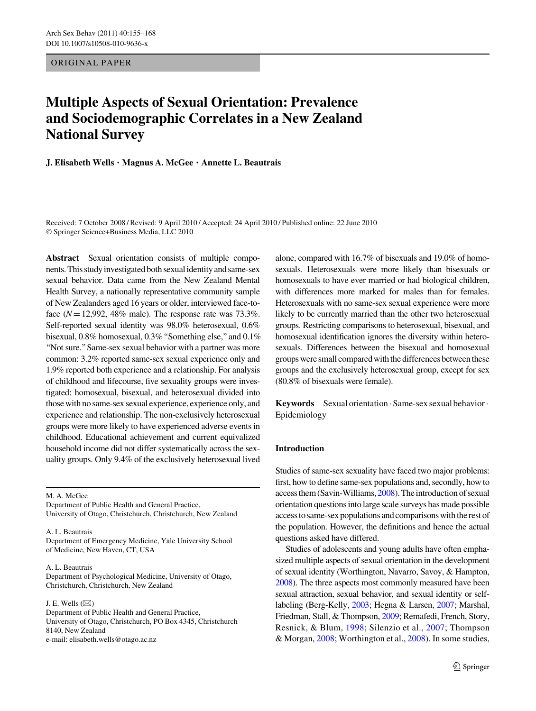ORIGINAL PAPER

# Multiple Aspects of Sexual Orientation: Prevalence and Sociodemographic Correlates in a New Zealand National Survey

J. Elisabeth Wells • Magnus A. McGee • Annette L. Beautrais

Received: 7 October 2008 / Revised: 9 April 2010 / Accepted: 24 April 2010 / Published online: 22 June 2010 © Springer Science+Business Media, LLC 2010

Abstract Sexual orientation consists of multiple components. This study investigated both sexual identity and same-sex sexual behavior. Data came from the New Zealand Mental Health Survey, a nationally representative community sample of New Zealanders aged 16 years or older, interviewed face-toface  $(N=12,992, 48\%$  male). The response rate was 73.3%. Self-reported sexual identity was 98.0% heterosexual, 0.6% bisexual, 0.8% homosexual, 0.3%''Something else,''and 0.1% ''Not sure.''Same-sex sexual behavior with a partner was more common: 3.2% reported same-sex sexual experience only and 1.9% reported both experience and a relationship. For analysis of childhood and lifecourse, five sexuality groups were investigated: homosexual, bisexual, and heterosexual divided into those with no same-sex sexual experience, experience only, and experience and relationship. The non-exclusively heterosexual groups were more likely to have experienced adverse events in childhood. Educational achievement and current equivalized household income did not differ systematically across the sexuality groups. Only 9.4% of the exclusively heterosexual lived

M. A. McGee Department of Public Health and General Practice, University of Otago, Christchurch, Christchurch, New Zealand

A. L. Beautrais

Department of Emergency Medicine, Yale University School of Medicine, New Haven, CT, USA

A. L. Beautrais

Department of Psychological Medicine, University of Otago, Christchurch, Christchurch, New Zealand

#### J. E. Wells  $(\boxtimes)$

Department of Public Health and General Practice, University of Otago, Christchurch, PO Box 4345, Christchurch 8140, New Zealand e-mail: elisabeth.wells@otago.ac.nz

alone, compared with 16.7% of bisexuals and 19.0% of homosexuals. Heterosexuals were more likely than bisexuals or homosexuals to have ever married or had biological children, with differences more marked for males than for females. Heterosexuals with no same-sex sexual experience were more likely to be currently married than the other two heterosexual groups. Restricting comparisons to heterosexual, bisexual, and homosexual identification ignores the diversity within heterosexuals. Differences between the bisexual and homosexual groups were small compared with the differences between these groups and the exclusively heterosexual group, except for sex (80.8% of bisexuals were female).

Keywords Sexual orientation · Same-sex sexual behavior · Epidemiology

## Introduction

Studies of same-sex sexuality have faced two major problems: first, how to define same-sex populations and, secondly, how to access them (Savin-Williams, [2008\)](#page-13-0). The introduction of sexual orientation questions into large scale surveys has made possible access to same-sex populations and comparisons with the rest of the population. However, the definitions and hence the actual questions asked have differed.

Studies of adolescents and young adults have often emphasized multiple aspects of sexual orientation in the development of sexual identity (Worthington, Navarro, Savoy, & Hampton, [2008](#page-13-0)). The three aspects most commonly measured have been sexual attraction, sexual behavior, and sexual identity or selflabeling (Berg-Kelly, [2003](#page-12-0); Hegna & Larsen, [2007;](#page-13-0) Marshal, Friedman, Stall, & Thompson, [2009;](#page-13-0) Remafedi, French, Story, Resnick, & Blum, [1998;](#page-13-0) Silenzio et al., [2007](#page-13-0); Thompson & Morgan, [2008;](#page-13-0) Worthington et al., [2008\)](#page-13-0). In some studies,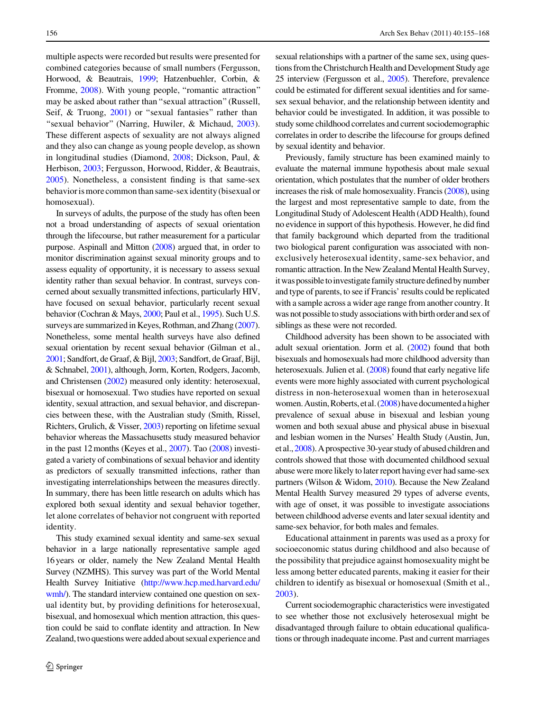multiple aspects were recorded but results were presented for combined categories because of small numbers (Fergusson, Horwood, & Beautrais, [1999](#page-12-0); Hatzenbuehler, Corbin, & Fromme, [2008](#page-12-0)). With young people, ''romantic attraction'' may be asked about rather than''sexual attraction''(Russell, Seif, & Truong, [2001](#page-13-0)) or "sexual fantasies" rather than "sexual behavior" (Narring, Huwiler, & Michaud, [2003](#page-13-0)). These different aspects of sexuality are not always aligned and they also can change as young people develop, as shown in longitudinal studies (Diamond, [2008](#page-12-0); Dickson, Paul, & Herbison, [2003;](#page-12-0) Fergusson, Horwood, Ridder, & Beautrais, [2005\)](#page-12-0). Nonetheless, a consistent finding is that same-sex behavior is more common than same-sex identity (bisexual or homosexual).

In surveys of adults, the purpose of the study has often been not a broad understanding of aspects of sexual orientation through the lifecourse, but rather measurement for a particular purpose. Aspinall and Mitton [\(2008](#page-12-0)) argued that, in order to monitor discrimination against sexual minority groups and to assess equality of opportunity, it is necessary to assess sexual identity rather than sexual behavior. In contrast, surveys concerned about sexually transmitted infections, particularly HIV, have focused on sexual behavior, particularly recent sexual behavior (Cochran & Mays, [2000](#page-12-0); Paul et al., [1995](#page-13-0)). Such U.S. surveys are summarized in Keyes, Rothman, and Zhang [\(2007\)](#page-13-0). Nonetheless, some mental health surveys have also defined sexual orientation by recent sexual behavior (Gilman et al., [2001](#page-12-0); Sandfort, de Graaf, & Bijl, [2003;](#page-13-0) Sandfort, de Graaf, Bijl, & Schnabel, [2001\)](#page-13-0), although, Jorm, Korten, Rodgers, Jacomb, and Christensen [\(2002](#page-13-0)) measured only identity: heterosexual, bisexual or homosexual. Two studies have reported on sexual identity, sexual attraction, and sexual behavior, and discrepancies between these, with the Australian study (Smith, Rissel, Richters, Grulich, & Visser, [2003\)](#page-13-0) reporting on lifetime sexual behavior whereas the Massachusetts study measured behavior in the past 12 months (Keyes et al., [2007](#page-13-0)). Tao ([2008\)](#page-13-0) investigated a variety of combinations of sexual behavior and identity as predictors of sexually transmitted infections, rather than investigating interrelationships between the measures directly. In summary, there has been little research on adults which has explored both sexual identity and sexual behavior together, let alone correlates of behavior not congruent with reported identity.

This study examined sexual identity and same-sex sexual behavior in a large nationally representative sample aged 16 years or older, namely the New Zealand Mental Health Survey (NZMHS). This survey was part of the World Mental Health Survey Initiative [\(http://www.hcp.med.harvard.edu/](http://www.hcp.med.harvard.edu/wmh/) [wmh/](http://www.hcp.med.harvard.edu/wmh/)). The standard interview contained one question on sexual identity but, by providing definitions for heterosexual, bisexual, and homosexual which mention attraction, this question could be said to conflate identity and attraction. In New Zealand, two questions were added about sexual experience and

sexual relationships with a partner of the same sex, using questions from the Christchurch Health and Development Study age 25 interview (Fergusson et al., [2005\)](#page-12-0). Therefore, prevalence could be estimated for different sexual identities and for samesex sexual behavior, and the relationship between identity and behavior could be investigated. In addition, it was possible to study some childhood correlates and current sociodemographic correlates in order to describe the lifecourse for groups defined by sexual identity and behavior.

Previously, family structure has been examined mainly to evaluate the maternal immune hypothesis about male sexual orientation, which postulates that the number of older brothers increases the risk of male homosexuality. Francis [\(2008](#page-12-0)), using the largest and most representative sample to date, from the Longitudinal Study of Adolescent Health (ADD Health), found no evidence in support of this hypothesis. However, he did find that family background which departed from the traditional two biological parent configuration was associated with nonexclusively heterosexual identity, same-sex behavior, and romantic attraction. In the New Zealand Mental Health Survey, it was possible to investigate family structure defined by number and type of parents, to see if Francis' results could be replicated with a sample across a wider age range from another country. It was not possible to study associations with birth order and sex of siblings as these were not recorded.

Childhood adversity has been shown to be associated with adult sexual orientation. Jorm et al. [\(2002](#page-13-0)) found that both bisexuals and homosexuals had more childhood adversity than heterosexuals. Julien et al. ([2008\)](#page-13-0) found that early negative life events were more highly associated with current psychological distress in non-heterosexual women than in heterosexual women. Austin, Roberts, et al. ([2008\)](#page-12-0) have documented a higher prevalence of sexual abuse in bisexual and lesbian young women and both sexual abuse and physical abuse in bisexual and lesbian women in the Nurses' Health Study (Austin, Jun, et al.,[2008\)](#page-12-0). A prospective 30-year study of abused children and controls showed that those with documented childhood sexual abuse were more likely to later report having ever had same-sex partners (Wilson & Widom, [2010\)](#page-13-0). Because the New Zealand Mental Health Survey measured 29 types of adverse events, with age of onset, it was possible to investigate associations between childhood adverse events and later sexual identity and same-sex behavior, for both males and females.

Educational attainment in parents was used as a proxy for socioeconomic status during childhood and also because of the possibility that prejudice against homosexuality might be less among better educated parents, making it easier for their children to identify as bisexual or homosexual (Smith et al., [2003](#page-13-0)).

Current sociodemographic characteristics were investigated to see whether those not exclusively heterosexual might be disadvantaged through failure to obtain educational qualifications or through inadequate income. Past and current marriages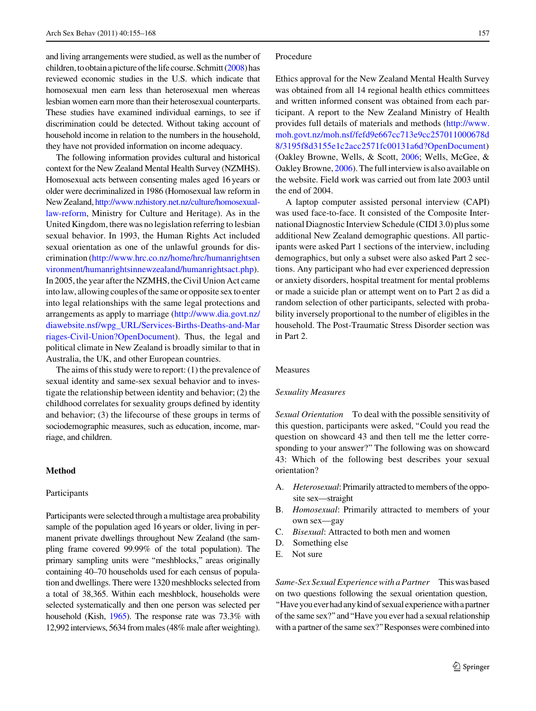and living arrangements were studied, as well as the number of children, to obtain a picture of the life course. Schmitt ([2008\)](#page-13-0) has reviewed economic studies in the U.S. which indicate that homosexual men earn less than heterosexual men whereas lesbian women earn more than their heterosexual counterparts. These studies have examined individual earnings, to see if discrimination could be detected. Without taking account of household income in relation to the numbers in the household, they have not provided information on income adequacy.

The following information provides cultural and historical context for the New Zealand Mental Health Survey (NZMHS). Homosexual acts between consenting males aged 16 years or older were decriminalized in 1986 (Homosexual law reform in New Zealand, [http://www.nzhistory.net.nz/culture/homosexual](http://www.nzhistory.net.nz/culture/homosexual-law-reform)[law-reform](http://www.nzhistory.net.nz/culture/homosexual-law-reform), Ministry for Culture and Heritage). As in the United Kingdom, there was no legislation referring to lesbian sexual behavior. In 1993, the Human Rights Act included sexual orientation as one of the unlawful grounds for discrimination [\(http://www.hrc.co.nz/home/hrc/humanrightsen](http://www.hrc.co.nz/home/hrc/humanrightsenvironment/humanrightsinnewzealand/humanrightsact.php) [vironment/humanrightsinnewzealand/humanrightsact.php](http://www.hrc.co.nz/home/hrc/humanrightsenvironment/humanrightsinnewzealand/humanrightsact.php)). In 2005, the year after the NZMHS, the Civil Union Act came into law, allowing couples of the same or opposite sex to enter into legal relationships with the same legal protections and arrangements as apply to marriage ([http://www.dia.govt.nz/](http://www.dia.govt.nz/diawebsite.nsf/wpg_URL/Services-Births-Deaths-and-Marriages-Civil-Union?OpenDocument) [diawebsite.nsf/wpg\\_URL/Services-Births-Deaths-and-Mar](http://www.dia.govt.nz/diawebsite.nsf/wpg_URL/Services-Births-Deaths-and-Marriages-Civil-Union?OpenDocument) [riages-Civil-Union?OpenDocument](http://www.dia.govt.nz/diawebsite.nsf/wpg_URL/Services-Births-Deaths-and-Marriages-Civil-Union?OpenDocument)). Thus, the legal and political climate in New Zealand is broadly similar to that in Australia, the UK, and other European countries.

The aims of this study were to report: (1) the prevalence of sexual identity and same-sex sexual behavior and to investigate the relationship between identity and behavior; (2) the childhood correlates for sexuality groups defined by identity and behavior; (3) the lifecourse of these groups in terms of sociodemographic measures, such as education, income, marriage, and children.

#### Method

#### Participants

Participants were selected through a multistage area probability sample of the population aged 16 years or older, living in permanent private dwellings throughout New Zealand (the sampling frame covered 99.99% of the total population). The primary sampling units were "meshblocks," areas originally containing 40–70 households used for each census of population and dwellings. There were 1320 meshblocks selected from a total of 38,365. Within each meshblock, households were selected systematically and then one person was selected per household (Kish, [1965\)](#page-13-0). The response rate was 73.3% with 12,992 interviews, 5634 from males (48% male after weighting).

#### Procedure

Ethics approval for the New Zealand Mental Health Survey was obtained from all 14 regional health ethics committees and written informed consent was obtained from each participant. A report to the New Zealand Ministry of Health provides full details of materials and methods [\(http://www.](http://www.moh.govt.nz/moh.nsf/fefd9e667cc713e9cc257011000678d8/3195f8d3155e1c2acc2571fc00131a6d?OpenDocument) [moh.govt.nz/moh.nsf/fefd9e667cc713e9cc257011000678d](http://www.moh.govt.nz/moh.nsf/fefd9e667cc713e9cc257011000678d8/3195f8d3155e1c2acc2571fc00131a6d?OpenDocument) [8/3195f8d3155e1c2acc2571fc00131a6d?OpenDocument](http://www.moh.govt.nz/moh.nsf/fefd9e667cc713e9cc257011000678d8/3195f8d3155e1c2acc2571fc00131a6d?OpenDocument)) (Oakley Browne, Wells, & Scott, [2006;](#page-13-0) Wells, McGee, & Oakley Browne, [2006\)](#page-13-0). The full interview is also available on the website. Field work was carried out from late 2003 until the end of 2004.

A laptop computer assisted personal interview (CAPI) was used face-to-face. It consisted of the Composite International Diagnostic Interview Schedule (CIDI 3.0) plus some additional New Zealand demographic questions. All participants were asked Part 1 sections of the interview, including demographics, but only a subset were also asked Part 2 sections. Any participant who had ever experienced depression or anxiety disorders, hospital treatment for mental problems or made a suicide plan or attempt went on to Part 2 as did a random selection of other participants, selected with probability inversely proportional to the number of eligibles in the household. The Post-Traumatic Stress Disorder section was in Part 2.

#### Measures

#### Sexuality Measures

Sexual Orientation To deal with the possible sensitivity of this question, participants were asked, ''Could you read the question on showcard 43 and then tell me the letter corresponding to your answer?'' The following was on showcard 43: Which of the following best describes your sexual orientation?

- A. Heterosexual: Primarily attracted to members of the opposite sex—straight
- B. Homosexual: Primarily attracted to members of your own sex—gay
- C. Bisexual: Attracted to both men and women
- D. Something else
- E. Not sure

Same-Sex Sexual Experience with a Partner This was based on two questions following the sexual orientation question, "Have you ever had any kind of sexual experience with a partner of the same sex?''and''Have you ever had a sexual relationship with a partner of the same sex?" Responses were combined into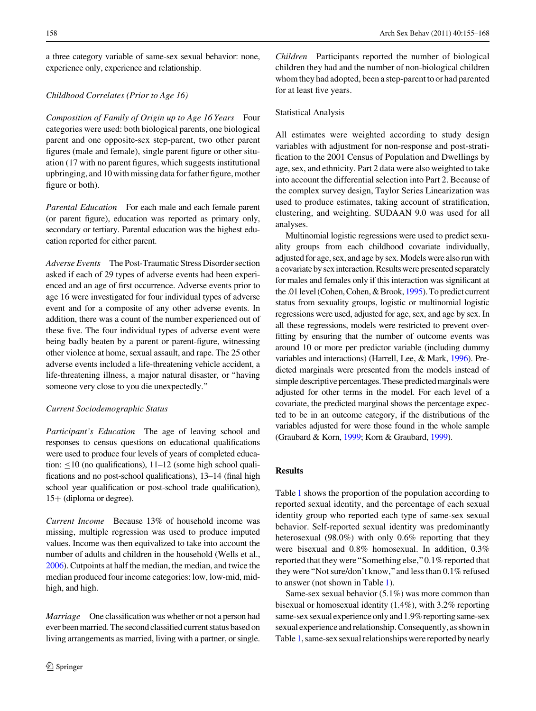a three category variable of same-sex sexual behavior: none, experience only, experience and relationship.

## Childhood Correlates (Prior to Age 16)

Composition of Family of Origin up to Age 16 Years Four categories were used: both biological parents, one biological parent and one opposite-sex step-parent, two other parent figures (male and female), single parent figure or other situation (17 with no parent figures, which suggests institutional upbringing, and 10 with missing data for father figure, mother figure or both).

Parental Education For each male and each female parent (or parent figure), education was reported as primary only, secondary or tertiary. Parental education was the highest education reported for either parent.

Adverse Events The Post-Traumatic Stress Disorder section asked if each of 29 types of adverse events had been experienced and an age of first occurrence. Adverse events prior to age 16 were investigated for four individual types of adverse event and for a composite of any other adverse events. In addition, there was a count of the number experienced out of these five. The four individual types of adverse event were being badly beaten by a parent or parent-figure, witnessing other violence at home, sexual assault, and rape. The 25 other adverse events included a life-threatening vehicle accident, a life-threatening illness, a major natural disaster, or ''having someone very close to you die unexpectedly.''

### Current Sociodemographic Status

Participant's Education The age of leaving school and responses to census questions on educational qualifications were used to produce four levels of years of completed education:  $\leq 10$  (no qualifications), 11–12 (some high school qualifications and no post-school qualifications), 13–14 (final high school year qualification or post-school trade qualification),  $15+$  (diploma or degree).

Current Income Because 13% of household income was missing, multiple regression was used to produce imputed values. Income was then equivalized to take into account the number of adults and children in the household (Wells et al., [2006\)](#page-13-0). Cutpoints at half the median, the median, and twice the median produced four income categories: low, low-mid, midhigh, and high.

Marriage One classification was whether or not a person had ever been married. The second classified current status based on living arrangements as married, living with a partner, or single.

Children Participants reported the number of biological children they had and the number of non-biological children whom they had adopted, been a step-parent to or had parented for at least five years.

## Statistical Analysis

All estimates were weighted according to study design variables with adjustment for non-response and post-stratification to the 2001 Census of Population and Dwellings by age, sex, and ethnicity. Part 2 data were also weighted to take into account the differential selection into Part 2. Because of the complex survey design, Taylor Series Linearization was used to produce estimates, taking account of stratification, clustering, and weighting. SUDAAN 9.0 was used for all analyses.

Multinomial logistic regressions were used to predict sexuality groups from each childhood covariate individually, adjusted for age, sex, and age by sex. Models were also run with a covariate by sex interaction. Results were presented separately for males and females only if this interaction was significant at the .01 level (Cohen, Cohen, & Brook, [1995\)](#page-12-0). To predict current status from sexuality groups, logistic or multinomial logistic regressions were used, adjusted for age, sex, and age by sex. In all these regressions, models were restricted to prevent overfitting by ensuring that the number of outcome events was around 10 or more per predictor variable (including dummy variables and interactions) (Harrell, Lee, & Mark, [1996](#page-12-0)). Predicted marginals were presented from the models instead of simple descriptive percentages. These predicted marginals were adjusted for other terms in the model. For each level of a covariate, the predicted marginal shows the percentage expected to be in an outcome category, if the distributions of the variables adjusted for were those found in the whole sample (Graubard & Korn, [1999](#page-12-0); Korn & Graubard, [1999\)](#page-13-0).

## Results

Table [1](#page-4-0) shows the proportion of the population according to reported sexual identity, and the percentage of each sexual identity group who reported each type of same-sex sexual behavior. Self-reported sexual identity was predominantly heterosexual (98.0%) with only 0.6% reporting that they were bisexual and 0.8% homosexual. In addition, 0.3% reported that they were''Something else,''0.1% reported that they were''Not sure/don't know,''and less than 0.1% refused to answer (not shown in Table [1](#page-4-0)).

Same-sex sexual behavior (5.1%) was more common than bisexual or homosexual identity (1.4%), with 3.2% reporting same-sex sexual experience only and 1.9% reporting same-sex sexual experience and relationship. Consequently, as shown in Table [1,](#page-4-0) same-sex sexual relationships were reported by nearly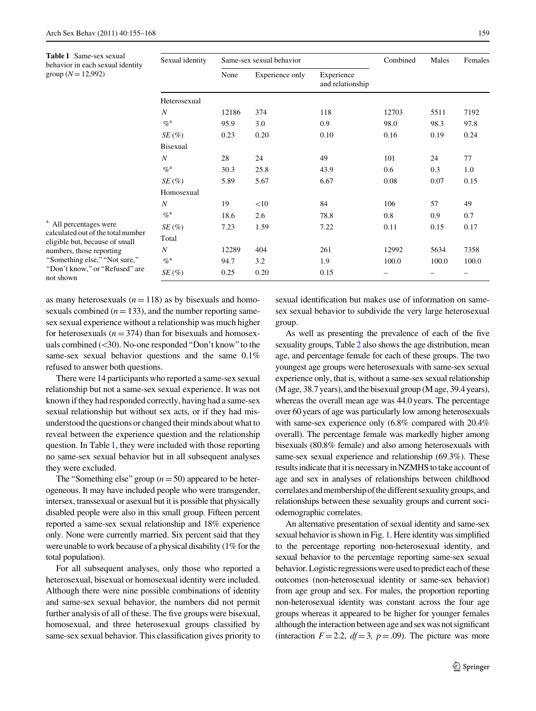| group $(N = 12,992)$ |  |
|----------------------|--|

<span id="page-4-0"></span>

| <b>Table 1</b> Same-sex sexual<br>behavior in each sexual identity      | Sexual identity   |       | Same-sex sexual behavior |                                | Combined | Males | Females |
|-------------------------------------------------------------------------|-------------------|-------|--------------------------|--------------------------------|----------|-------|---------|
| group ( $N = 12,992$ )                                                  |                   | None  | Experience only          | Experience<br>and relationship |          |       |         |
|                                                                         | Heterosexual      |       |                          |                                |          |       |         |
|                                                                         | $\overline{N}$    | 12186 | 374                      | 118                            | 12703    | 5511  | 7192    |
|                                                                         | $\%^{\rm a}$      | 95.9  | 3.0                      | 0.9                            | 98.0     | 98.3  | 97.8    |
|                                                                         | SE(%)             | 0.23  | 0.20                     | 0.10                           | 0.16     | 0.19  | 0.24    |
|                                                                         | Bisexual          |       |                          |                                |          |       |         |
|                                                                         | $\boldsymbol{N}$  | 28    | 24                       | 49                             | 101      | 24    | 77      |
|                                                                         | $\%$ <sup>a</sup> | 30.3  | 25.8                     | 43.9                           | 0.6      | 0.3   | 1.0     |
|                                                                         | SE(%)             | 5.89  | 5.67                     | 6.67                           | 0.08     | 0.07  | 0.15    |
|                                                                         | Homosexual        |       |                          |                                |          |       |         |
|                                                                         | $\overline{N}$    | 19    | <10                      | 84                             | 106      | 57    | 49      |
|                                                                         | $\%$ <sup>a</sup> | 18.6  | 2.6                      | 78.8                           | 0.8      | 0.9   | 0.7     |
| <sup>a</sup> All percentages were<br>calculated out of the total number | SE(%)             | 7.23  | 1.59                     | 7.22                           | 0.11     | 0.15  | 0.17    |
| eligible but, because of small                                          | Total             |       |                          |                                |          |       |         |
| numbers, those reporting                                                | $\overline{N}$    | 12289 | 404                      | 261                            | 12992    | 5634  | 7358    |
| "Something else," "Not sure,"                                           | $\%$ <sup>a</sup> | 94.7  | 3.2                      | 1.9                            | 100.0    | 100.0 | 100.0   |
| "Don't know," or "Refused" are<br>not shown                             | SE(%)             | 0.25  | 0.20                     | 0.15                           |          |       | -       |

as many heterosexuals ( $n=118$ ) as by bisexuals and homosexuals combined ( $n=133$ ), and the number reporting samesex sexual experience without a relationship was much higher for heterosexuals ( $n=374$ ) than for bisexuals and homosexuals combined  $(\leq 30)$ . No-one responded "Don't know" to the same-sex sexual behavior questions and the same 0.1% refused to answer both questions.

There were 14 participants who reported a same-sex sexual relationship but not a same-sex sexual experience. It was not known if they had responded correctly, having had a same-sex sexual relationship but without sex acts, or if they had misunderstood the questions or changed their minds about what to reveal between the experience question and the relationship question. In Table 1, they were included with those reporting no same-sex sexual behavior but in all subsequent analyses they were excluded.

The "Something else" group ( $n=50$ ) appeared to be heterogeneous. It may have included people who were transgender, intersex, transsexual or asexual but it is possible that physically disabled people were also in this small group. Fifteen percent reported a same-sex sexual relationship and 18% experience only. None were currently married. Six percent said that they were unable to work because of a physical disability (1% for the total population).

For all subsequent analyses, only those who reported a heterosexual, bisexual or homosexual identity were included. Although there were nine possible combinations of identity and same-sex sexual behavior, the numbers did not permit further analysis of all of these. The five groups were bisexual, homosexual, and three heterosexual groups classified by same-sex sexual behavior. This classification gives priority to

sexual identification but makes use of information on samesex sexual behavior to subdivide the very large heterosexual group.

As well as presenting the prevalence of each of the five sexuality groups, Table [2](#page-5-0) also shows the age distribution, mean age, and percentage female for each of these groups. The two youngest age groups were heterosexuals with same-sex sexual experience only, that is, without a same-sex sexual relationship (M age, 38.7 years), and the bisexual group (M age, 39.4 years), whereas the overall mean age was 44.0 years. The percentage over 60 years of age was particularly low among heterosexuals with same-sex experience only  $(6.8\%$  compared with  $20.4\%$ overall). The percentage female was markedly higher among bisexuals (80.8% female) and also among heterosexuals with same-sex sexual experience and relationship (69.3%). These results indicate that it is necessary in NZMHS to take account of age and sex in analyses of relationships between childhood correlates and membership of the different sexuality groups, and relationships between these sexuality groups and current sociodemographic correlates.

An alternative presentation of sexual identity and same-sex sexual behavior is shown in Fig. [1](#page-5-0). Here identity was simplified to the percentage reporting non-heterosexual identity, and sexual behavior to the percentage reporting same-sex sexual behavior. Logistic regressions were used to predict each of these outcomes (non-heterosexual identity or same-sex behavior) from age group and sex. For males, the proportion reporting non-heterosexual identity was constant across the four age groups whereas it appeared to be higher for younger females although the interaction between age and sex was not significant (interaction  $F=2.2$ ,  $df=3$ ,  $p=.09$ ). The picture was more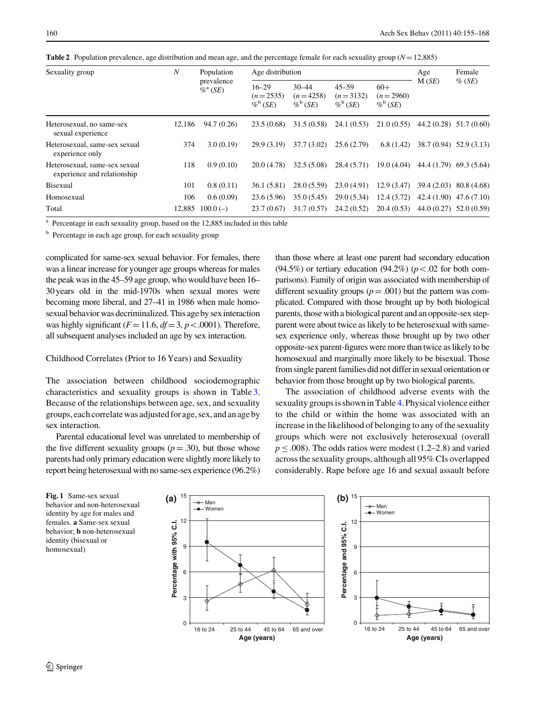<span id="page-5-0"></span>**Table 2** Population prevalence, age distribution and mean age, and the percentage female for each sexuality group ( $N = 12,885$ )

| Sexuality group                                              | $\boldsymbol{N}$ | Population                      | Age distribution                                |                                                   |                                                 |                                             | Age                        | Female                  |
|--------------------------------------------------------------|------------------|---------------------------------|-------------------------------------------------|---------------------------------------------------|-------------------------------------------------|---------------------------------------------|----------------------------|-------------------------|
|                                                              |                  | prevalence<br>$\%^{\rm a}$ (SE) | $16 - 29$<br>$(n=2535)$<br>$\%^{\text{b}}$ (SE) | $30 - 44$<br>$(n=4258)$<br>$\%^{\mathsf{b}}$ (SE) | $45 - 59$<br>$(n=3132)$<br>$\%^{\text{b}}$ (SE) | $60+$<br>$(n=2960)$<br>$\%^{\text{b}}$ (SE) | M(SE)                      | $\%$ (SE)               |
| Heterosexual, no same-sex<br>sexual experience               | 12.186           | 94.7(0.26)                      | 23.5(0.68)                                      | 31.5(0.58)                                        | 24.1(0.53)                                      | 21.0(0.55)                                  | $44.2(0.28)$ 51.7 $(0.60)$ |                         |
| Heterosexual, same-sex sexual<br>experience only             | 374              | 3.0(0.19)                       | 29.9(3.19)                                      | 37.7(3.02)                                        | 25.6(2.79)                                      | 6.8(1.42)                                   |                            | 38.7 (0.94) 52.9 (3.13) |
| Heterosexual, same-sex sexual<br>experience and relationship | 118              | 0.9(0.10)                       | 20.0(4.78)                                      | 32.5(5.08)                                        | 28.4(5.71)                                      | 19.0(4.04)                                  | $44.4(1.79)$ 69.3 (5.64)   |                         |
| <b>Bisexual</b>                                              | 101              | 0.8(0.11)                       | 36.1(5.81)                                      | 28.0(5.59)                                        | 23.0(4.91)                                      | 12.9(3.47)                                  |                            | 39.4 (2.03) 80.8 (4.68) |
| Homosexual                                                   | 106              | 0.6(0.09)                       | 23.6(5.96)                                      | 35.0(5.45)                                        | 29.0(5.34)                                      | 12.4(3.72)                                  | $42.4(1.90)$ $47.6(7.10)$  |                         |
| Total                                                        |                  | $12.885$ $100.0$ (-)            | 23.7(0.67)                                      | 31.7(0.57)                                        | 24.2(0.52)                                      | 20.4(0.53)                                  | $44.0(0.27)$ 52.0 $(0.59)$ |                         |

<sup>a</sup> Percentage in each sexuality group, based on the 12,885 included in this table

<sup>b</sup> Percentage in each age group, for each sexuality group

complicated for same-sex sexual behavior. For females, there was a linear increase for younger age groups whereas for males the peak was in the 45–59 age group, who would have been 16– 30 years old in the mid-1970s when sexual mores were becoming more liberal, and 27–41 in 1986 when male homosexual behavior was decriminalized. This age by sex interaction was highly significant ( $F=11.6$ ,  $df=3$ ,  $p<.0001$ ). Therefore, all subsequent analyses included an age by sex interaction.

## Childhood Correlates (Prior to 16 Years) and Sexuality

The association between childhood sociodemographic characteristics and sexuality groups is shown in Table [3.](#page-6-0) Because of the relationships between age, sex, and sexuality groups, each correlate was adjusted for age, sex, and an age by sex interaction.

Parental educational level was unrelated to membership of the five different sexuality groups  $(p=.30)$ , but those whose parents had only primary education were slightly more likely to report being heterosexual with no same-sex experience (96.2%) than those where at least one parent had secondary education (94.5%) or tertiary education (94.2%) ( $p<.02$  for both comparisons). Family of origin was associated with membership of different sexuality groups ( $p = .001$ ) but the pattern was complicated. Compared with those brought up by both biological parents, those with a biological parent and an opposite-sex stepparent were about twice as likely to be heterosexual with samesex experience only, whereas those brought up by two other opposite-sex parent-figures were more than twice as likely to be homosexual and marginally more likely to be bisexual. Those from single parent families did not differ in sexual orientation or behavior from those brought up by two biological parents.

The association of childhood adverse events with the sexuality groups is shown in Table [4.](#page-7-0) Physical violence either to the child or within the home was associated with an increase in the likelihood of belonging to any of the sexuality groups which were not exclusively heterosexual (overall  $p < .008$ ). The odds ratios were modest (1.2–2.8) and varied across the sexuality groups, although all 95% CIs overlapped considerably. Rape before age 16 and sexual assault before

Fig. 1 Same-sex sexual behavior and non-heterosexual identity by age for males and females. a Same-sex sexual behavior; b non-heterosexual identity (bisexual or homosexual)

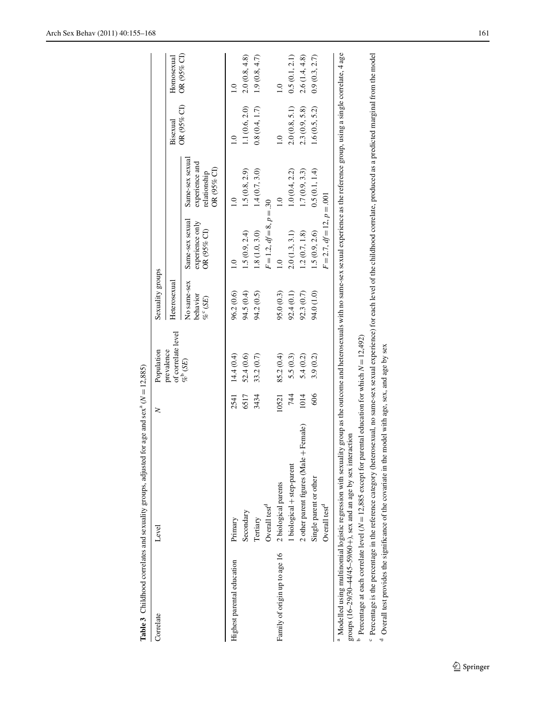<span id="page-6-0"></span>

| Correlate                     | Level                                                                                                                                                                                                                                                                                | $\geq$ | Population                                  | Sexuality groups                             |                                                   |                                                                  |                |                  |
|-------------------------------|--------------------------------------------------------------------------------------------------------------------------------------------------------------------------------------------------------------------------------------------------------------------------------------|--------|---------------------------------------------|----------------------------------------------|---------------------------------------------------|------------------------------------------------------------------|----------------|------------------|
|                               |                                                                                                                                                                                                                                                                                      |        | of correlate level<br>prevalence            | Heterosexual                                 |                                                   |                                                                  | Bisexual       | Homosexual       |
|                               |                                                                                                                                                                                                                                                                                      |        | $\% ^{\mathrm{b}}\left( \mathrm{SE}\right)$ | No same-sex<br>behavior<br>$\%^{\circ}$ (SE) | Same-sex sexual<br>experience only<br>OR (95% CI) | Same-sex sexual<br>experience and<br>OR (95% CI)<br>relationship | OR (95% CI)    | OR (95% CI)      |
| Highest parental education    | Primary                                                                                                                                                                                                                                                                              | 2541   | 14.4(0.4)                                   | 96.2(0.6)                                    | $\frac{0}{1}$                                     | $\overline{1.0}$                                                 | $\frac{0}{1}$  | $\overline{1.0}$ |
|                               | Secondary                                                                                                                                                                                                                                                                            | 6517   | 52.4(0.6)                                   | 94.5 (0.4)                                   | 1.5(0.9, 2.4)                                     | 1.5(0.8, 2.9)                                                    | 1.1(0.6, 2.0)  | 2.0(0.8, 4.8)    |
|                               | Tertiary                                                                                                                                                                                                                                                                             | 3434   | 33.2(0.7)                                   | 94.2 (0.5)                                   | 1.8(1.0, 3.0)                                     | 1.4(0.7, 3.0)                                                    | 0.8(0.4, 1.7)  | 1.9(0.8, 4.7)    |
|                               | Overall test <sup>d</sup>                                                                                                                                                                                                                                                            |        |                                             |                                              | $F = 1.2, df = 8, p = .30$                        |                                                                  |                |                  |
| Family of origin up to age 16 | 2 biological parents                                                                                                                                                                                                                                                                 | 10521  | 85.2(0.4)                                   | 95.0(0.3)                                    | $\subseteq$                                       | $\overline{C}$                                                   | $\overline{0}$ | $\overline{1.0}$ |
|                               | 1 biological + step-parent                                                                                                                                                                                                                                                           | 744    | 5.5(0.3)                                    | 92.4(0.1)                                    | 2.0(1.3, 3.1)                                     | 1.0(0.4, 2.2)                                                    | 2.0(0.8, 5.1)  | 0.5(0.1, 2.1)    |
|                               | 2 other parent figures (Male + Female)                                                                                                                                                                                                                                               | 1014   | 5.4(0.2)                                    | 92.3(0.7)                                    | 1.2(0.7, 1.8)                                     | 1.7(0.9, 3.3)                                                    | 2.3(0.9, 5.8)  | 2.6(1.4, 4.8)    |
|                               | Single parent or other                                                                                                                                                                                                                                                               | 606    | 3.9(0.2)                                    | 94.0 (1.0)                                   | 1.5(0.9, 2.6)                                     | 0.5(0.1, 1.4)                                                    | 1.6(0.5, 5.2)  | 0.9(0.3, 2.7)    |
|                               | Overall test <sup>d</sup>                                                                                                                                                                                                                                                            |        |                                             |                                              | $F = 2.7, df = 12, p = .001$                      |                                                                  |                |                  |
|                               | <sup>a</sup> Modelled using multinomial logistic regression with sexuality group as the outcome and heterosexuals with no same-sex sexual experience as the reference group, using a single correlate, 4 age<br>groups $(16-29/30-44/45-59/60+)$ , sex and an age by sex interaction |        |                                             |                                              |                                                   |                                                                  |                |                  |
|                               | Percentage at each correlate level ( $N = 12,885$ except for parental education for which $N = 12,492$ )                                                                                                                                                                             |        |                                             |                                              |                                                   |                                                                  |                |                  |
|                               | Percentage is the percentage in the reference category (heterosexual, no same-sex sexual experience) for each level of the childhood correlate, produced as a predicted marginal from the model                                                                                      |        |                                             |                                              |                                                   |                                                                  |                |                  |
|                               | <sup>d</sup> Overall test provides the significance of the covariate in the model with age, sex, and age by sex                                                                                                                                                                      |        |                                             |                                              |                                                   |                                                                  |                |                  |

**Table 3** Childhood correlates and sexuality groups, adjusted for age and sex<sup>4</sup> ( $N = 12,885$ )

Table 3 Childhood correlates and sexuality groups, adjusted for age and sex<sup>4</sup> ( $N = 12,885$ )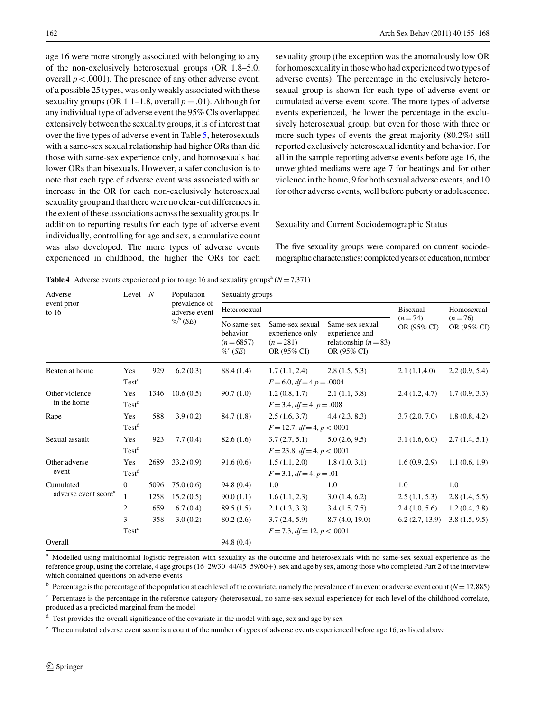Adverse

Other adverse event

Cumulated

adverse event score<sup>e</sup>

<span id="page-7-0"></span>age 16 were more strongly associated with belonging to any of the non-exclusively heterosexual groups (OR 1.8–5.0, overall  $p < .0001$ ). The presence of any other adverse event, of a possible 25 types, was only weakly associated with these sexuality groups (OR 1.1–1.8, overall  $p = .01$ ). Although for any individual type of adverse event the 95% CIs overlapped extensively between the sexuality groups, it is of interest that over the five types of adverse event in Table [5](#page-8-0), heterosexuals with a same-sex sexual relationship had higher ORs than did those with same-sex experience only, and homosexuals had lower ORs than bisexuals. However, a safer conclusion is to note that each type of adverse event was associated with an increase in the OR for each non-exclusively heterosexual sexuality group and that there were no clear-cut differences in the extent of these associations across the sexuality groups. In addition to reporting results for each type of adverse event individually, controlling for age and sex, a cumulative count was also developed. The more types of adverse events experienced in childhood, the higher the ORs for each

Homosexual  $(n = 76)$ 

sexuality group (the exception was the anomalously low OR for homosexuality in those who had experienced two types of adverse events). The percentage in the exclusively heterosexual group is shown for each type of adverse event or cumulated adverse event score. The more types of adverse events experienced, the lower the percentage in the exclusively heterosexual group, but even for those with three or more such types of events the great majority (80.2%) still reported exclusively heterosexual identity and behavior. For all in the sample reporting adverse events before age 16, the unweighted medians were age 7 for beatings and for other violence in the home, 9 for both sexual adverse events, and 10 for other adverse events, well before puberty or adolescence.

## Sexuality and Current Sociodemographic Status

The five sexuality groups were compared on current sociodemographic characteristics: completed years of education, number

event prior to 16 prevalence of adverse event  $\%^{\rm b}$   $(SE)$ Heterosexual Bisexual  $(n = 74)$ OR (95% CI) No same-sex Same-sex sexual Same-sex sexual OR (95% CI) OR (95% CI) behavior  $(n = 6857)$  $\%^c$  (SE) experience only  $(n = 281)$ OR (95% CI) Same-sex sexual experience and relationship ( $n = 83$ ) OR (95% CI) Beaten at home Yes 929 6.2 (0.3) 88.4 (1.4) 1.7 (1.1, 2.4) 2.8 (1.5, 5.3) 2.1 (1.1, 4.0) 2.2 (0.9, 5.4) Test<sup>d</sup>  $F = 6.0, df = 4 p = .0004$ Other violence in the home Yes 1346 10.6 (0.5) 90.7 (1.0) 1.2 (0.8, 1.7) 2.1 (1.1, 3.8) 2.4 (1.2, 4.7) 1.7 (0.9, 3.3) Test<sup>d</sup>  $F = 3.4, df = 4, p = .008$ Rape Yes 588 3.9 (0.2) 84.7 (1.8) 2.5 (1.6, 3.7) 4.4 (2.3, 8.3) 3.7 (2.0, 7.0) 1.8 (0.8, 4.2) Test<sup>d</sup>  $F = 12.7, df = 4, p < .0001$ 

Test<sup>d</sup>  $F = 23.8, df = 4, p < .0001$ 

Test<sup>d</sup>  $F = 7.3, df = 12, p < .0001$ 

Test<sup>d</sup>  $F = 3.1, df = 4, p = .01$ 

Sexuality groups

**Table 4** Adverse events experienced prior to age 16 and sexuality groups<sup>a</sup> ( $N = 7,371$ )

Level  $N$  Population

| <sup>a</sup> Modelled using multinomial logistic regression with sexuality as the outcome and heterosexuals with no same-sex sexual experience as the |
|-------------------------------------------------------------------------------------------------------------------------------------------------------|
| reference group, using the correlate, 4 age groups (16–29/30–44/45–59/60+), sex and age by sex, among those who completed Part 2 of the interview     |
| which contained questions on adverse events                                                                                                           |

Sexual assault Yes 923 7.7 (0.4) 82.6 (1.6) 3.7 (2.7, 5.1) 5.0 (2.6, 9.5) 3.1 (1.6, 6.0) 2.7 (1.4, 5.1)

Yes 2689 33.2 (0.9) 91.6 (0.6) 1.5 (1.1, 2.0) 1.8 (1.0, 3.1) 1.6 (0.9, 2.9) 1.1 (0.6, 1.9)

1 1258 15.2 (0.5) 90.0 (1.1) 1.6 (1.1, 2.3) 3.0 (1.4, 6.2) 2.5 (1.1, 5.3) 2.8 (1.4, 5.5) 2 659 6.7 (0.4) 89.5 (1.5) 2.1 (1.3, 3.3) 3.4 (1.5, 7.5) 2.4 (1.0, 5.6) 1.2 (0.4, 3.8) 3? 358 3.0 (0.2) 80.2 (2.6) 3.7 (2.4, 5.9) 8.7 (4.0, 19.0) 6.2 (2.7, 13.9) 3.8 (1.5, 9.5)

0 5096 75.0 (0.6) 94.8 (0.4) 1.0 1.0 1.0 1.0 1.0 1.0

<sup>b</sup> Percentage is the percentage of the population at each level of the covariate, namely the prevalence of an event or adverse event count ( $N = 12,885$ )

Percentage is the percentage in the reference category (heterosexual, no same-sex sexual experience) for each level of the childhood correlate, produced as a predicted marginal from the model

<sup>d</sup> Test provides the overall significance of the covariate in the model with age, sex and age by sex

Overall 94.8 (0.4)

<sup>e</sup> The cumulated adverse event score is a count of the number of types of adverse events experienced before age 16, as listed above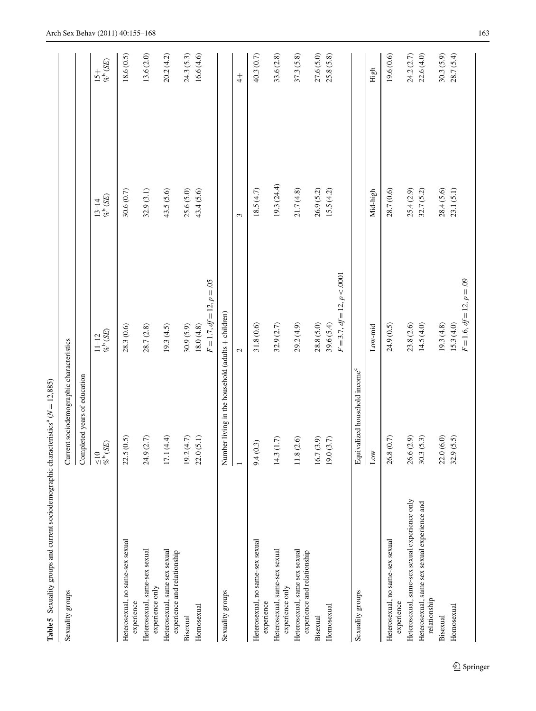<span id="page-8-0"></span>

| Table 5 Sexuality groups and current sociodemographic characteristics <sup>a</sup> ( $N = 12,885$ ) |                                           |                                                    |                      |                       |
|-----------------------------------------------------------------------------------------------------|-------------------------------------------|----------------------------------------------------|----------------------|-----------------------|
| Sexuality groups                                                                                    | Current sociodemographic characteristics  |                                                    |                      |                       |
|                                                                                                     | Completed years of education              |                                                    |                      |                       |
|                                                                                                     | (SE)<br>$rac{10}{\%}$                     | $\frac{11-12}{\%}$ (SE)                            | $^{13-14}_{\%}$ (SE) | $\frac{15+}{\%}$ (SE) |
| Heterosexual, no same-sex sexual<br>experience                                                      | (0.5)<br>22.5                             | 28.3 (0.6)                                         | 30.6 (0.7)           | 18.6(0.5)             |
| Heterosexual, same-sex sexual<br>experience only                                                    | (2.7)<br>24.9                             | 28.7 (2.8)                                         | 32.9(3.1)            | 13.6 (2.0)            |
| Heterosexual, same sex sexual<br>experience and relationship                                        | $(4.4)$<br>17.1                           | 19.3(4.5)                                          | 43.5 (5.6)           | 20.2(4.2)             |
| Bisexual                                                                                            | (4.7)<br>19.2                             | 30.9(5.9)                                          | 25.6(5.0)            | 24.3 (5.3)            |
| Homosexual                                                                                          | (5.1)<br>22.0                             | $F = 1.7, df = 12, p = .05$<br>18.0(4.8)           | 43.4 (5.6)           | 16.6(4.6)             |
| Sexuality groups                                                                                    |                                           | Number living in the household (adults + children) |                      |                       |
|                                                                                                     |                                           | $\mathcal{L}$                                      | 3                    | $rac{1}{4}$           |
| Heterosexual, no same-sex sexual<br>experience                                                      | 9.4(0.3)                                  | 31.8 (0.6)                                         | 18.5(4.7)            | 40.3(0.7)             |
| Heterosexual, same-sex sexual<br>experience only                                                    | (1.7)<br>14.3                             | 32.9 (2.7)                                         | 19.3(24.4)           | 33.6 (2.8)            |
| Heterosexual, same sex sexual<br>experience and relationship                                        | (2.6)<br>11.8                             | 29.2(4.9)                                          | 21.7(4.8)            | 37.3 (5.8)            |
| Bisexual                                                                                            | (3.9)<br>16.7                             | 28.8(5.0)                                          | 26.9(5.2)            | 27.6 (5.0)            |
| Homosexual                                                                                          | (3.7)<br>19.0                             | 39.6 (5.4)                                         | 15.5(4.2)            | 25.8(5.8)             |
|                                                                                                     |                                           | $F = 3.7, df = 12, p < .0001$                      |                      |                       |
| Sexuality groups                                                                                    | Equivalized household income <sup>c</sup> |                                                    |                      |                       |
|                                                                                                     | Low                                       | Low-mid                                            | Mid-high             | High                  |
| Heterosexual, no same-sex sexual<br>experience                                                      | (0.7)<br>26.8                             | 24.9 (0.5)                                         | 28.7 (0.6)           | 19.6 (0.6)            |
| Heterosexual, same-sex sexual experience only                                                       | (2.9)<br>26.6                             | 23.8 (2.6)                                         | 25.4(2.9)            | 24.2 (2.7)            |
| Heterosexual, same sex sexual experience and<br>relationship                                        | (5.3)<br>30.3                             | 14.5(4.0)                                          | 32.7 (5.2)           | 22.6(4.0)             |
| Bisexual                                                                                            | (6.0)<br>22.0                             | 19.3(4.8)                                          | 28.4(5.6)            | 30.3(5.9)             |
| Homosexual                                                                                          | (5.5)<br>32.9                             | 15.3(4.0)                                          | 23.1(5.1)            | 28.7 (5.4)            |
|                                                                                                     |                                           | $F = 1.6, df = 12, p = .09$                        |                      |                       |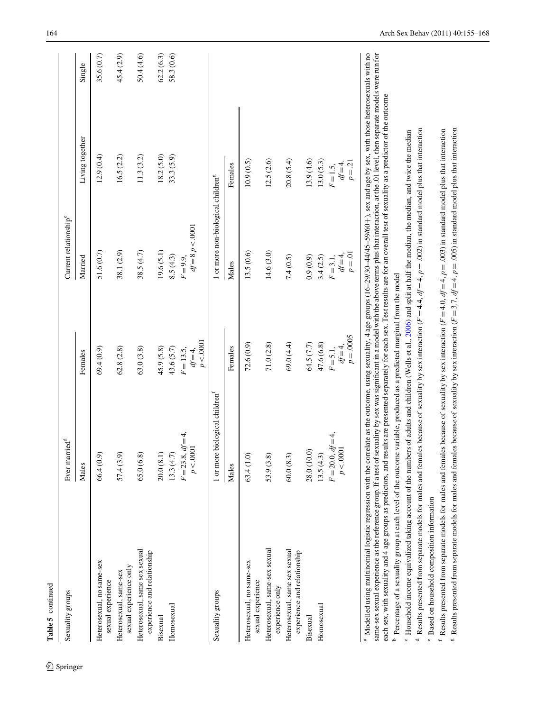| Sexuality groups                                                                                                                                                                                                                                                                                                                                                                                                                                                                                                                                                                                                    | Ever married <sup>d</sup>                  |                                       | Current relationship <sup>e</sup>              |                                                                                                                                             |            |
|---------------------------------------------------------------------------------------------------------------------------------------------------------------------------------------------------------------------------------------------------------------------------------------------------------------------------------------------------------------------------------------------------------------------------------------------------------------------------------------------------------------------------------------------------------------------------------------------------------------------|--------------------------------------------|---------------------------------------|------------------------------------------------|---------------------------------------------------------------------------------------------------------------------------------------------|------------|
|                                                                                                                                                                                                                                                                                                                                                                                                                                                                                                                                                                                                                     | Males                                      | Females                               | Married                                        | Living together                                                                                                                             | Single     |
| Heterosexual, no same-sex<br>sexual experience                                                                                                                                                                                                                                                                                                                                                                                                                                                                                                                                                                      | 66.4(0.9)                                  | $(6.0)$ + 69                          | 51.6(0.7)                                      | 12.9(0.4)                                                                                                                                   | 35.6 (0.7) |
| sexual experience only<br>Heterosexual, same-sex                                                                                                                                                                                                                                                                                                                                                                                                                                                                                                                                                                    | 57.4(3.9)                                  | 62.8(2.8)                             | 38.1 (2.9)                                     | 16.5(2.2)                                                                                                                                   | 45.4 (2.9) |
| Heterosexual, same sex sexual<br>experience and relationship                                                                                                                                                                                                                                                                                                                                                                                                                                                                                                                                                        | 65.0(6.8)                                  | 63.0(3.8)                             | 38.5 (4.7)                                     | 11.3(3.2)                                                                                                                                   | 50.4(4.6)  |
| Bisexual                                                                                                                                                                                                                                                                                                                                                                                                                                                                                                                                                                                                            | 20.0(8.1)                                  | 45.9 (5.8)                            | 19.6(5.1)                                      | 18.2(5.0)                                                                                                                                   | 62.2(6.3)  |
| Homosexual                                                                                                                                                                                                                                                                                                                                                                                                                                                                                                                                                                                                          | 13.3(4.7)                                  | 43.6 (5.7)                            | 8.5(4.3)                                       | 33.3(5.9)                                                                                                                                   | 58.3 (0.6) |
|                                                                                                                                                                                                                                                                                                                                                                                                                                                                                                                                                                                                                     | $F = 23.8, df = 4,$<br>p < .0001           | p < .0001<br>$F = 13.5,$<br>$df = 4.$ | $df = 8 p < .0001$<br>$F = 9.9,$               |                                                                                                                                             |            |
| Sexuality groups                                                                                                                                                                                                                                                                                                                                                                                                                                                                                                                                                                                                    | 1 or more biological children <sup>f</sup> |                                       | 1 or more non-biological children <sup>g</sup> |                                                                                                                                             |            |
|                                                                                                                                                                                                                                                                                                                                                                                                                                                                                                                                                                                                                     | Males                                      | Females                               | Males                                          | Females                                                                                                                                     |            |
| Heterosexual, no same-sex<br>sexual experience                                                                                                                                                                                                                                                                                                                                                                                                                                                                                                                                                                      | 63.4(1.0)                                  | 72.6(0.9)                             | 13.5(0.6)                                      | 10.9(0.5)                                                                                                                                   |            |
| Heterosexual, same-sex sexual<br>experience only                                                                                                                                                                                                                                                                                                                                                                                                                                                                                                                                                                    | 53.9(3.8)                                  | 71.0(2.8)                             | 14.6(3.0)                                      | 12.5(2.6)                                                                                                                                   |            |
| Heterosexual, same sex sexual<br>experience and relationship                                                                                                                                                                                                                                                                                                                                                                                                                                                                                                                                                        | 60.0(8.3)                                  | 69.0(4.4)                             | 7.4(0.5)                                       | 20.8(5.4)                                                                                                                                   |            |
| Bisexual                                                                                                                                                                                                                                                                                                                                                                                                                                                                                                                                                                                                            | 28.0 (10.0)                                | 64.5 $(7.7)$                          | 0.9(0.9)                                       | 13.9(4.6)                                                                                                                                   |            |
| Homosexual                                                                                                                                                                                                                                                                                                                                                                                                                                                                                                                                                                                                          | 13.5(4.3)                                  | 47.6 (6.8)                            | 3.4(2.5)                                       | 13.0(5.3)                                                                                                                                   |            |
|                                                                                                                                                                                                                                                                                                                                                                                                                                                                                                                                                                                                                     | $F = 20.0, df = 4,$                        | $F = 5.1,$                            | $F = 3.1,$                                     | $F = 1.5$ ,                                                                                                                                 |            |
|                                                                                                                                                                                                                                                                                                                                                                                                                                                                                                                                                                                                                     | p < .0001                                  | $df=4,$                               | $df=4,$                                        | $df = 4.$                                                                                                                                   |            |
|                                                                                                                                                                                                                                                                                                                                                                                                                                                                                                                                                                                                                     |                                            | $p = .0005$                           | $p = 01$                                       | $p = 21$                                                                                                                                    |            |
| <sup>a</sup> Modelled using multinomial logistic regression with the correlate as the outcome, using sexuality, 4 age groups (16-29/30-44/45-59/60+), sex and age by sex, with those heterosexuals with no<br>each sex, with sexuality and 4 age groups as predictors, and results are presented separately for each sex. Test results are for an overall test of sexuality as a predictor of the outcome<br><sup>b</sup> Percentage of a sexuality group at each level of the outcome variable, produced as a predicted marginal from the model<br>same-sex sexual experience as the reference group. If a test of |                                            |                                       |                                                | sexuality by sex was significant in a model with the above terms plus that interaction, at the .01 level, then separate models were run for |            |
| <sup>6</sup> Household income equivalized taking account of the numbers of adults and children (Wells et al., 2006) and split at half the median, the median, and twice the median                                                                                                                                                                                                                                                                                                                                                                                                                                  |                                            |                                       |                                                |                                                                                                                                             |            |

Table 5 continued

Table 5 continued

<sup>6</sup> Household income equivalized taking account of the numbers of adults and children (Wells et al., [2006\)](#page-13-0) and split at half the median, the median, and twice the median <sup>d</sup> Results presented from separate models for males and females because of sexuality by sex interaction ( $F = 4.4$ ,  $df = 4. p = .002$ ) in standard model plus that interaction <sup>0</sup> Results presented from separate models for males and females because of sexuality by sex interaction  $(F = 4, 4, df = 4, p = .002)$  in standard model plus that interaction

<sup>f</sup> Results presented from separate models for males and females because of sexuality by sex interaction ( $F = 4.0$ ,  $df = 4$ ,  $p = .003$ ) in standard model plus that interaction <sup>1</sup> Results presented from separate models for males and females because of sexuality by sex interaction  $(F = 4.0, df = 4, p = .003)$  in standard model plus that interaction <sup>g</sup> Results presented from separate models for males and females because of sexuality by sex interaction ( $F = 3.7$ ,  $df = 4$ ,  $p = .005$ ) in standard model plus that interaction <sup>8</sup> Results presented from separate models for males and females because of sexuality by sex interaction  $(F = 3.7, df = 4, p = .005)$  in standard model plus that interaction

<sup>e</sup> Based on household composition information Based on household composition information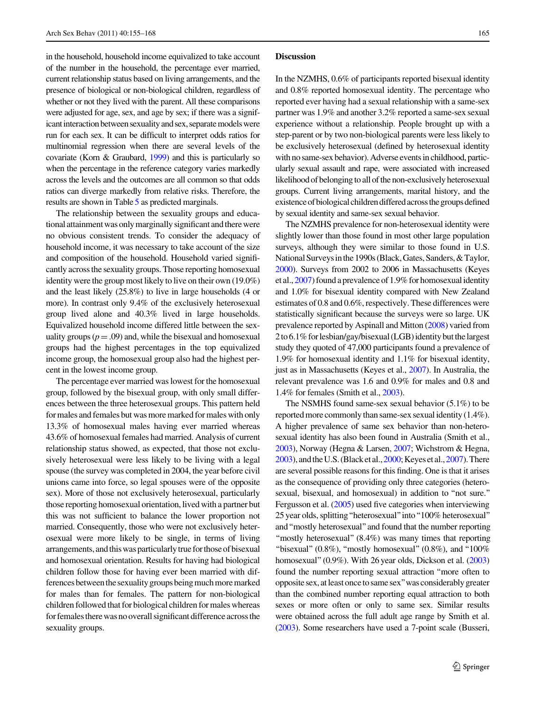in the household, household income equivalized to take account of the number in the household, the percentage ever married, current relationship status based on living arrangements, and the presence of biological or non-biological children, regardless of whether or not they lived with the parent. All these comparisons were adjusted for age, sex, and age by sex; if there was a significant interaction between sexuality and sex, separate models were run for each sex. It can be difficult to interpret odds ratios for multinomial regression when there are several levels of the covariate (Korn & Graubard, [1999\)](#page-13-0) and this is particularly so when the percentage in the reference category varies markedly across the levels and the outcomes are all common so that odds ratios can diverge markedly from relative risks. Therefore, the results are shown in Table [5](#page-8-0) as predicted marginals.

The relationship between the sexuality groups and educational attainment was only marginally significant and there were no obvious consistent trends. To consider the adequacy of household income, it was necessary to take account of the size and composition of the household. Household varied significantly across the sexuality groups. Those reporting homosexual identity were the group most likely to live on their own (19.0%) and the least likely (25.8%) to live in large households (4 or more). In contrast only 9.4% of the exclusively heterosexual group lived alone and 40.3% lived in large households. Equivalized household income differed little between the sexuality groups  $(p=.09)$  and, while the bisexual and homosexual groups had the highest percentages in the top equivalized income group, the homosexual group also had the highest percent in the lowest income group.

The percentage ever married was lowest for the homosexual group, followed by the bisexual group, with only small differences between the three heterosexual groups. This pattern held for males and females but was more marked for males with only 13.3% of homosexual males having ever married whereas 43.6% of homosexual females had married. Analysis of current relationship status showed, as expected, that those not exclusively heterosexual were less likely to be living with a legal spouse (the survey was completed in 2004, the year before civil unions came into force, so legal spouses were of the opposite sex). More of those not exclusively heterosexual, particularly those reporting homosexual orientation, lived with a partner but this was not sufficient to balance the lower proportion not married. Consequently, those who were not exclusively heterosexual were more likely to be single, in terms of living arrangements, and this was particularly true for those of bisexual and homosexual orientation. Results for having had biological children follow those for having ever been married with differences between the sexuality groups being much more marked for males than for females. The pattern for non-biological children followed that for biological children for males whereas for females there was no overall significant difference across the sexuality groups.

#### **Discussion**

In the NZMHS, 0.6% of participants reported bisexual identity and 0.8% reported homosexual identity. The percentage who reported ever having had a sexual relationship with a same-sex partner was 1.9% and another 3.2% reported a same-sex sexual experience without a relationship. People brought up with a step-parent or by two non-biological parents were less likely to be exclusively heterosexual (defined by heterosexual identity with no same-sex behavior). Adverse events in childhood, particularly sexual assault and rape, were associated with increased likelihood of belonging to all of the non-exclusively heterosexual groups. Current living arrangements, marital history, and the existence of biological children differed across the groups defined by sexual identity and same-sex sexual behavior.

The NZMHS prevalence for non-heterosexual identity were slightly lower than those found in most other large population surveys, although they were similar to those found in U.S. National Surveys in the 1990s (Black, Gates, Sanders, & Taylor, [2000](#page-12-0)). Surveys from 2002 to 2006 in Massachusetts (Keyes et al., [2007\)](#page-13-0) found a prevalence of 1.9% for homosexual identity and 1.0% for bisexual identity compared with New Zealand estimates of 0.8 and 0.6%, respectively. These differences were statistically significant because the surveys were so large. UK prevalence reported by Aspinall and Mitton ([2008\)](#page-12-0) varied from 2 to 6.1% forlesbian/gay/bisexual (LGB) identity but the largest study they quoted of 47,000 participants found a prevalence of 1.9% for homosexual identity and 1.1% for bisexual identity, just as in Massachusetts (Keyes et al., [2007\)](#page-13-0). In Australia, the relevant prevalence was 1.6 and 0.9% for males and 0.8 and 1.4% for females (Smith et al., [2003](#page-13-0)).

The NSMHS found same-sex sexual behavior (5.1%) to be reported more commonly than same-sex sexual identity (1.4%). A higher prevalence of same sex behavior than non-heterosexual identity has also been found in Australia (Smith et al., [2003](#page-13-0)), Norway (Hegna & Larsen, [2007;](#page-13-0) Wichstrom & Hegna, [2003](#page-13-0)), and the U.S. (Black et al., [2000](#page-12-0); Keyes et al., [2007\)](#page-13-0). There are several possible reasons for this finding. One is that it arises as the consequence of providing only three categories (heterosexual, bisexual, and homosexual) in addition to "not sure." Fergusson et al. [\(2005](#page-12-0)) used five categories when interviewing 25 year olds, splitting''heterosexual''into''100% heterosexual'' and''mostly heterosexual''and found that the number reporting "mostly heterosexual" (8.4%) was many times that reporting "bisexual"  $(0.8\%)$ , "mostly homosexual"  $(0.8\%)$ , and " $100\%$ homosexual" (0.9%). With 26 year olds, Dickson et al. ([2003\)](#page-12-0) found the number reporting sexual attraction ''more often to opposite sex, atleastonce tosamesex''wasconsiderably greater than the combined number reporting equal attraction to both sexes or more often or only to same sex. Similar results were obtained across the full adult age range by Smith et al. [\(2003](#page-13-0)). Some researchers have used a 7-point scale (Busseri,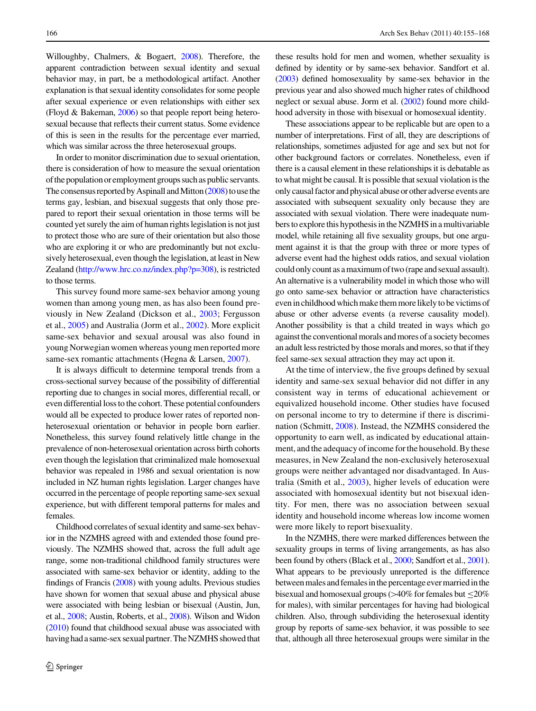Willoughby, Chalmers, & Bogaert, [2008](#page-12-0)). Therefore, the apparent contradiction between sexual identity and sexual behavior may, in part, be a methodological artifact. Another explanation is that sexual identity consolidates for some people after sexual experience or even relationships with either sex (Floyd & Bakeman, [2006](#page-12-0)) so that people report being heterosexual because that reflects their current status. Some evidence of this is seen in the results for the percentage ever married, which was similar across the three heterosexual groups.

In order to monitor discrimination due to sexual orientation, there is consideration of how to measure the sexual orientation of the population or employment groups such as public servants. The consensus reported by Aspinall and Mitton  $(2008)$  to use the terms gay, lesbian, and bisexual suggests that only those prepared to report their sexual orientation in those terms will be counted yet surely the aim of human rights legislation is not just to protect those who are sure of their orientation but also those who are exploring it or who are predominantly but not exclusively heterosexual, even though the legislation, at least in New Zealand [\(http://www.hrc.co.nz/index.php?p=308](http://www.hrc.co.nz/index.php?p=308)), is restricted to those terms.

This survey found more same-sex behavior among young women than among young men, as has also been found previously in New Zealand (Dickson et al., [2003;](#page-12-0) Fergusson et al., [2005](#page-12-0)) and Australia (Jorm et al., [2002\)](#page-13-0). More explicit same-sex behavior and sexual arousal was also found in young Norwegian women whereas young men reported more same-sex romantic attachments (Hegna & Larsen, [2007\)](#page-13-0).

It is always difficult to determine temporal trends from a cross-sectional survey because of the possibility of differential reporting due to changes in social mores, differential recall, or even differential loss to the cohort. These potential confounders would all be expected to produce lower rates of reported nonheterosexual orientation or behavior in people born earlier. Nonetheless, this survey found relatively little change in the prevalence of non-heterosexual orientation across birth cohorts even though the legislation that criminalized male homosexual behavior was repealed in 1986 and sexual orientation is now included in NZ human rights legislation. Larger changes have occurred in the percentage of people reporting same-sex sexual experience, but with different temporal patterns for males and females.

Childhood correlates of sexual identity and same-sex behavior in the NZMHS agreed with and extended those found previously. The NZMHS showed that, across the full adult age range, some non-traditional childhood family structures were associated with same-sex behavior or identity, adding to the findings of Francis [\(2008\)](#page-12-0) with young adults. Previous studies have shown for women that sexual abuse and physical abuse were associated with being lesbian or bisexual (Austin, Jun, et al., [2008;](#page-12-0) Austin, Roberts, et al., [2008](#page-12-0)). Wilson and Widon [\(2010](#page-13-0)) found that childhood sexual abuse was associated with having had a same-sex sexual partner. The NZMHS showed that

these results hold for men and women, whether sexuality is defined by identity or by same-sex behavior. Sandfort et al. [\(2003](#page-13-0)) defined homosexuality by same-sex behavior in the previous year and also showed much higher rates of childhood neglect or sexual abuse. Jorm et al. [\(2002\)](#page-13-0) found more childhood adversity in those with bisexual or homosexual identity.

These associations appear to be replicable but are open to a number of interpretations. First of all, they are descriptions of relationships, sometimes adjusted for age and sex but not for other background factors or correlates. Nonetheless, even if there is a causal element in these relationships it is debatable as to what might be causal. It is possible that sexual violation is the only causal factor and physical abuse or other adverse events are associated with subsequent sexuality only because they are associated with sexual violation. There were inadequate numbers to explore this hypothesis in the NZMHS in a multivariable model, while retaining all five sexuality groups, but one argument against it is that the group with three or more types of adverse event had the highest odds ratios, and sexual violation could only count as a maximum of two (rape and sexual assault). An alternative is a vulnerability model in which those who will go onto same-sex behavior or attraction have characteristics even in childhood which make them more likely to be victims of abuse or other adverse events (a reverse causality model). Another possibility is that a child treated in ways which go against the conventional morals and mores of a society becomes an adult less restricted by those morals and mores, so that if they feel same-sex sexual attraction they may act upon it.

At the time of interview, the five groups defined by sexual identity and same-sex sexual behavior did not differ in any consistent way in terms of educational achievement or equivalized household income. Other studies have focused on personal income to try to determine if there is discrimination (Schmitt, [2008\)](#page-13-0). Instead, the NZMHS considered the opportunity to earn well, as indicated by educational attainment, and the adequacy of income for the household. By these measures, in New Zealand the non-exclusively heterosexual groups were neither advantaged nor disadvantaged. In Australia (Smith et al., [2003\)](#page-13-0), higher levels of education were associated with homosexual identity but not bisexual identity. For men, there was no association between sexual identity and household income whereas low income women were more likely to report bisexuality.

In the NZMHS, there were marked differences between the sexuality groups in terms of living arrangements, as has also been found by others (Black et al., [2000](#page-12-0); Sandfort et al., [2001\)](#page-13-0). What appears to be previously unreported is the difference between males and females in the percentage ever married in the bisexual and homosexual groups ( $>40\%$  for females but  $<20\%$ for males), with similar percentages for having had biological children. Also, through subdividing the heterosexual identity group by reports of same-sex behavior, it was possible to see that, although all three heterosexual groups were similar in the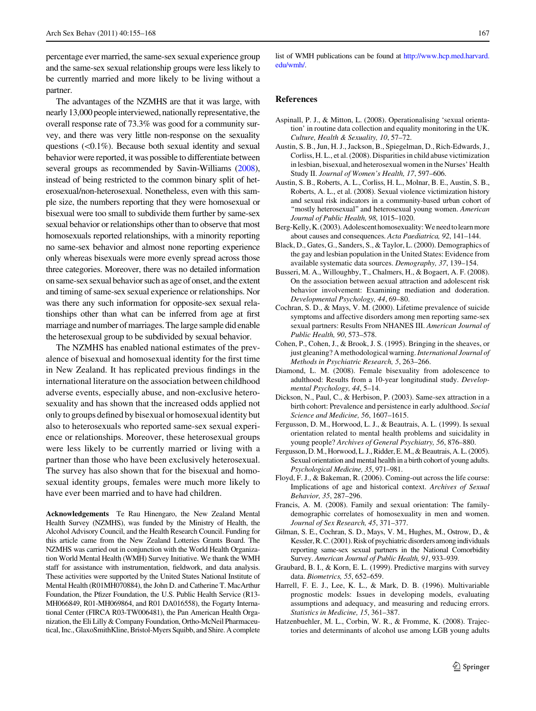<span id="page-12-0"></span>percentage ever married, the same-sex sexual experience group and the same-sex sexual relationship groups were less likely to be currently married and more likely to be living without a partner.

The advantages of the NZMHS are that it was large, with nearly 13,000 people interviewed, nationally representative, the overall response rate of 73.3% was good for a community survey, and there was very little non-response on the sexuality questions  $(\leq 0.1\%)$ . Because both sexual identity and sexual behavior were reported, it was possible to differentiate between several groups as recommended by Savin-Williams [\(2008\)](#page-13-0), instead of being restricted to the common binary split of heterosexual/non-heterosexual. Nonetheless, even with this sample size, the numbers reporting that they were homosexual or bisexual were too small to subdivide them further by same-sex sexual behavior or relationships other than to observe that most homosexuals reported relationships, with a minority reporting no same-sex behavior and almost none reporting experience only whereas bisexuals were more evenly spread across those three categories. Moreover, there was no detailed information on same-sex sexual behavior such as age of onset, and the extent and timing of same-sex sexual experience or relationships. Nor was there any such information for opposite-sex sexual relationships other than what can be inferred from age at first marriage and number of marriages. The large sample did enable the heterosexual group to be subdivided by sexual behavior.

The NZMHS has enabled national estimates of the prevalence of bisexual and homosexual identity for the first time in New Zealand. It has replicated previous findings in the international literature on the association between childhood adverse events, especially abuse, and non-exclusive heterosexuality and has shown that the increased odds applied not only to groups defined by bisexual or homosexual identity but also to heterosexuals who reported same-sex sexual experience or relationships. Moreover, these heterosexual groups were less likely to be currently married or living with a partner than those who have been exclusively heterosexual. The survey has also shown that for the bisexual and homosexual identity groups, females were much more likely to have ever been married and to have had children.

Acknowledgements Te Rau Hinengaro, the New Zealand Mental Health Survey (NZMHS), was funded by the Ministry of Health, the Alcohol Advisory Council, and the Health Research Council. Funding for this article came from the New Zealand Lotteries Grants Board. The NZMHS was carried out in conjunction with the World Health Organization World Mental Health (WMH) Survey Initiative. We thank the WMH staff for assistance with instrumentation, fieldwork, and data analysis. These activities were supported by the United States National Institute of Mental Health (R01MH070884), the John D. and Catherine T. MacArthur Foundation, the Pfizer Foundation, the U.S. Public Health Service (R13- MH066849, R01-MH069864, and R01 DA016558), the Fogarty International Center (FIRCA R03-TW006481), the Pan American Health Organization, the Eli Lilly & Company Foundation, Ortho-McNeil Pharmaceutical, Inc., GlaxoSmithKline, Bristol-Myers Squibb, and Shire. A complete

list of WMH publications can be found at [http://www.hcp.med.harvard.](http://www.hcp.med.harvard.edu/wmh/) [edu/wmh/.](http://www.hcp.med.harvard.edu/wmh/)

#### References

- Aspinall, P. J., & Mitton, L. (2008). Operationalising 'sexual orientation' in routine data collection and equality monitoring in the UK. Culture, Health & Sexuality, 10, 57–72.
- Austin, S. B., Jun, H. J., Jackson, B., Spiegelman, D., Rich-Edwards, J., Corliss, H. L., et al. (2008). Disparities in child abuse victimization in lesbian, bisexual, and heterosexual women in the Nurses' Health Study II. Journal of Women's Health, 17, 597–606.
- Austin, S. B., Roberts, A. L., Corliss, H. L., Molnar, B. E., Austin, S. B., Roberts, A. L., et al. (2008). Sexual violence victimization history and sexual risk indicators in a community-based urban cohort of "mostly heterosexual" and heterosexual young women. American Journal of Public Health, 98, 1015–1020.
- Berg-Kelly, K. (2003). Adolescent homosexuality: We need to learn more about causes and consequences. Acta Paediatrica, 92, 141–144.
- Black, D., Gates, G., Sanders, S., & Taylor, L. (2000). Demographics of the gay and lesbian population in the United States: Evidence from available systematic data sources. Demography, 37, 139–154.
- Busseri, M. A., Willoughby, T., Chalmers, H., & Bogaert, A. F. (2008). On the association between aexual attraction and adolescent risk behavior involvement: Examining mediation and doderation. Developmental Psychology, 44, 69–80.
- Cochran, S. D., & Mays, V. M. (2000). Lifetime prevalence of suicide symptoms and affective disorders among men reporting same-sex sexual partners: Results From NHANES III. American Journal of Public Health, 90, 573–578.
- Cohen, P., Cohen, J., & Brook, J. S. (1995). Bringing in the sheaves, or just gleaning? A methodological warning. International Journal of Methods in Psychiatric Research, 5, 263–266.
- Diamond, L. M. (2008). Female bisexuality from adolescence to adulthood: Results from a 10-year longitudinal study. Developmental Psychology, 44, 5–14.
- Dickson, N., Paul, C., & Herbison, P. (2003). Same-sex attraction in a birth cohort: Prevalence and persistence in early adulthood. Social Science and Medicine, 56, 1607–1615.
- Fergusson, D. M., Horwood, L. J., & Beautrais, A. L. (1999). Is sexual orientation related to mental health problems and suicidality in young people? Archives of General Psychiatry, 56, 876–880.
- Fergusson, D. M., Horwood, L. J., Ridder, E. M., & Beautrais, A. L. (2005). Sexual orientation and mental health in a birth cohort of young adults. Psychological Medicine, 35, 971–981.
- Floyd, F. J., & Bakeman, R. (2006). Coming-out across the life course: Implications of age and historical context. Archives of Sexual Behavior, 35, 287–296.
- Francis, A. M. (2008). Family and sexual orientation: The familydemographic correlates of homosexuality in men and women. Journal of Sex Research, 45, 371–377.
- Gilman, S. E., Cochran, S. D., Mays, V. M., Hughes, M., Ostrow, D., & Kessler, R. C. (2001). Risk of psychiatric disorders among individuals reporting same-sex sexual partners in the National Comorbidity Survey. American Journal of Public Health, 91, 933–939.
- Graubard, B. I., & Korn, E. L. (1999). Predictive margins with survey data. Biometrics, 55, 652–659.
- Harrell, F. E. J., Lee, K. L., & Mark, D. B. (1996). Multivariable prognostic models: Issues in developing models, evaluating assumptions and adequacy, and measuring and reducing errors. Statistics in Medicine, 15, 361–387.
- Hatzenbuehler, M. L., Corbin, W. R., & Fromme, K. (2008). Trajectories and determinants of alcohol use among LGB young adults